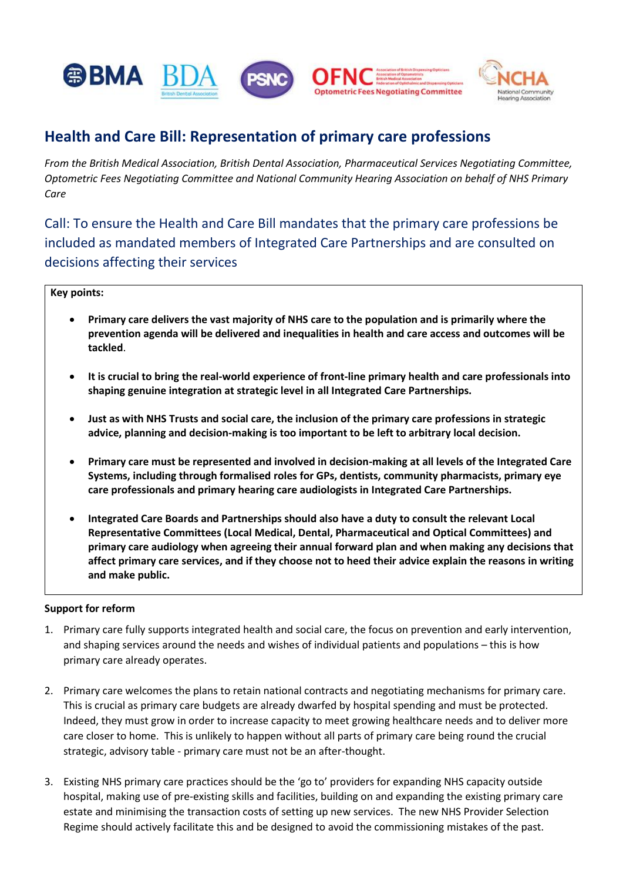

# **Health and Care Bill: Representation of primary care professions**

*From the British Medical Association, British Dental Association, Pharmaceutical Services Negotiating Committee, Optometric Fees Negotiating Committee and National Community Hearing Association on behalf of NHS Primary Care* 

Call: To ensure the Health and Care Bill mandates that the primary care professions be included as mandated members of Integrated Care Partnerships and are consulted on decisions affecting their services

### **Key points:**

- **Primary care delivers the vast majority of NHS care to the population and is primarily where the prevention agenda will be delivered and inequalities in health and care access and outcomes will be tackled**.
- **It is crucial to bring the real-world experience of front-line primary health and care professionals into shaping genuine integration at strategic level in all Integrated Care Partnerships.**
- **Just as with NHS Trusts and social care, the inclusion of the primary care professions in strategic advice, planning and decision-making is too important to be left to arbitrary local decision.**
- **Primary care must be represented and involved in decision-making at all levels of the Integrated Care Systems, including through formalised roles for GPs, dentists, community pharmacists, primary eye care professionals and primary hearing care audiologists in Integrated Care Partnerships.**
- **Integrated Care Boards and Partnerships should also have a duty to consult the relevant Local Representative Committees (Local Medical, Dental, Pharmaceutical and Optical Committees) and primary care audiology when agreeing their annual forward plan and when making any decisions that affect primary care services, and if they choose not to heed their advice explain the reasons in writing and make public.**

#### **Support for reform**

- 1. Primary care fully supports integrated health and social care, the focus on prevention and early intervention, and shaping services around the needs and wishes of individual patients and populations – this is how primary care already operates.
- 2. Primary care welcomes the plans to retain national contracts and negotiating mechanisms for primary care. This is crucial as primary care budgets are already dwarfed by hospital spending and must be protected. Indeed, they must grow in order to increase capacity to meet growing healthcare needs and to deliver more care closer to home. This is unlikely to happen without all parts of primary care being round the crucial strategic, advisory table - primary care must not be an after-thought.
- 3. Existing NHS primary care practices should be the 'go to' providers for expanding NHS capacity outside hospital, making use of pre-existing skills and facilities, building on and expanding the existing primary care estate and minimising the transaction costs of setting up new services. The new NHS Provider Selection Regime should actively facilitate this and be designed to avoid the commissioning mistakes of the past.